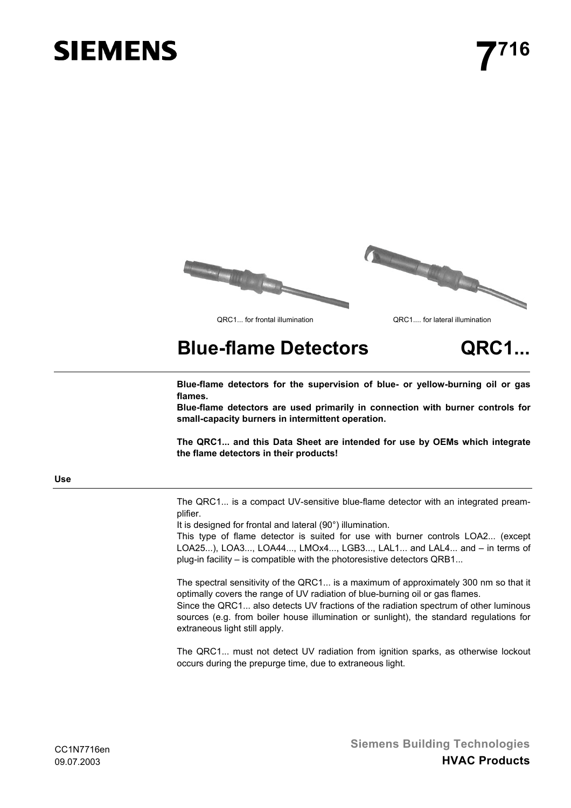# **SIEMENS**





# **Blue-flame Detectors QRC1...**

**Blue-flame detectors for the supervision of blue- or yellow-burning oil or gas flames.**

**Blue-flame detectors are used primarily in connection with burner controls for small-capacity burners in intermittent operation.**

**The QRC1... and this Data Sheet are intended for use by OEMs which integrate the flame detectors in their products!**

# **Use**

The QRC1... is a compact UV-sensitive blue-flame detector with an integrated preamplifier.

It is designed for frontal and lateral (90°) illumination.

This type of flame detector is suited for use with burner controls LOA2... (except LOA25...), LOA3..., LOA44..., LMOx4..., LGB3..., LAL1... and LAL4... and – in terms of plug-in facility – is compatible with the photoresistive detectors QRB1...

The spectral sensitivity of the QRC1... is a maximum of approximately 300 nm so that it optimally covers the range of UV radiation of blue-burning oil or gas flames. Since the QRC1... also detects UV fractions of the radiation spectrum of other luminous sources (e.g. from boiler house illumination or sunlight), the standard regulations for extraneous light still apply.

The QRC1... must not detect UV radiation from ignition sparks, as otherwise lockout occurs during the prepurge time, due to extraneous light.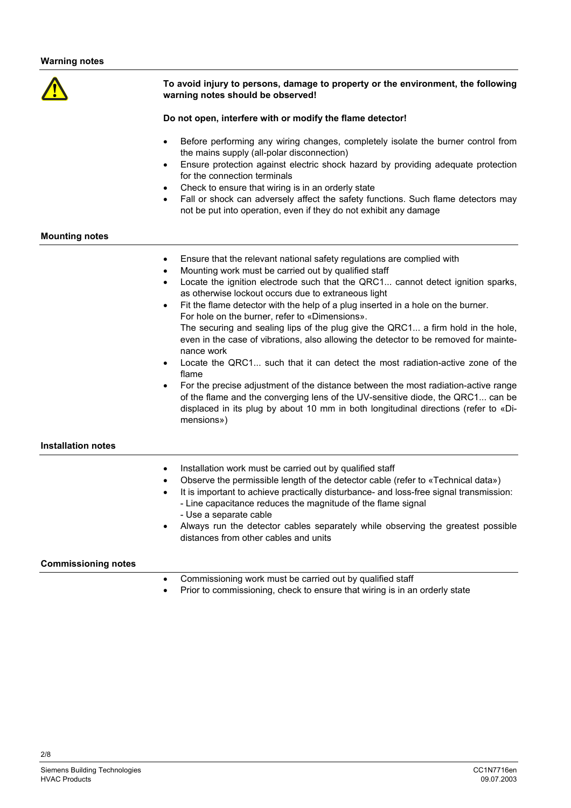

# **To avoid injury to persons, damage to property or the environment, the following warning notes should be observed!**

# **Do not open, interfere with or modify the flame detector!**

- Before performing any wiring changes, completely isolate the burner control from the mains supply (all-polar disconnection)
- Ensure protection against electric shock hazard by providing adequate protection for the connection terminals
- Check to ensure that wiring is in an orderly state
- Fall or shock can adversely affect the safety functions. Such flame detectors may not be put into operation, even if they do not exhibit any damage

# **Mounting notes**

- Ensure that the relevant national safety regulations are complied with
- Mounting work must be carried out by qualified staff
- Locate the ignition electrode such that the QRC1... cannot detect ignition sparks, as otherwise lockout occurs due to extraneous light
- Fit the flame detector with the help of a plug inserted in a hole on the burner. For hole on the burner, refer to «Dimensions». The securing and sealing lips of the plug give the QRC1... a firm hold in the hole, even in the case of vibrations, also allowing the detector to be removed for maintenance work
- Locate the QRC1... such that it can detect the most radiation-active zone of the flame
- For the precise adjustment of the distance between the most radiation-active range of the flame and the converging lens of the UV-sensitive diode, the QRC1... can be displaced in its plug by about 10 mm in both longitudinal directions (refer to «Dimensions»)

# **Installation notes**

- Installation work must be carried out by qualified staff
- Observe the permissible length of the detector cable (refer to «Technical data»)
- It is important to achieve practically disturbance- and loss-free signal transmission:
	- Line capacitance reduces the magnitude of the flame signal - Use a separate cable
- Always run the detector cables separately while observing the greatest possible distances from other cables and units

# **Commissioning notes**

- Commissioning work must be carried out by qualified staff
- Prior to commissioning, check to ensure that wiring is in an orderly state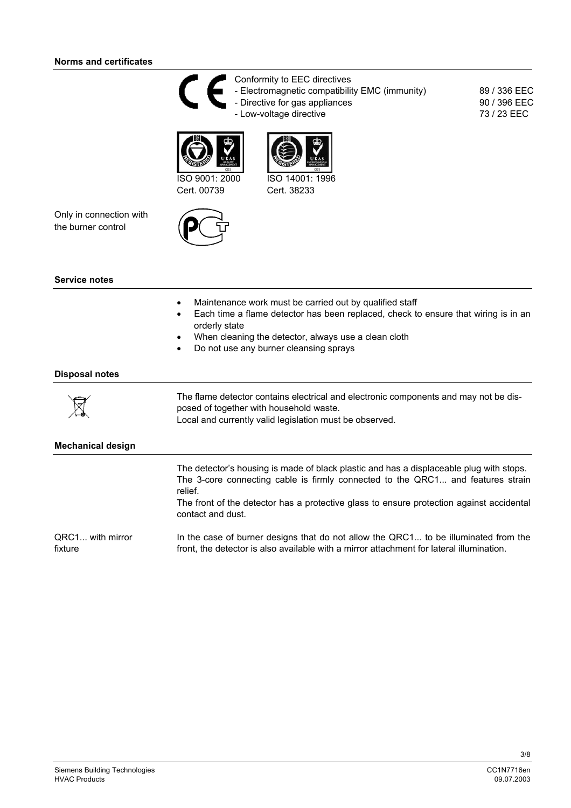# **Norms and certificates**



Conformity to EEC directives - Electromagnetic compatibility EMC (immunity) - Directive for gas appliances - Low-voltage directive

89 / 336 EEC 90 / 396 EEC 73 / 23 EEC





Cert. 38233

Cert. 00739

Only in connection with the burner control



### **Service notes**

- Maintenance work must be carried out by qualified staff
- Each time a flame detector has been replaced, check to ensure that wiring is in an orderly state
- When cleaning the detector, always use a clean cloth
- Do not use any burner cleansing sprays

### **Disposal notes**



The flame detector contains electrical and electronic components and may not be disposed of together with household waste. Local and currently valid legislation must be observed.

### **Mechanical design**

The detector's housing is made of black plastic and has a displaceable plug with stops. The 3-core connecting cable is firmly connected to the QRC1... and features strain relief.

The front of the detector has a protective glass to ensure protection against accidental contact and dust.

In the case of burner designs that do not allow the QRC1... to be illuminated from the front, the detector is also available with a mirror attachment for lateral illumination. QRC1... with mirror fixture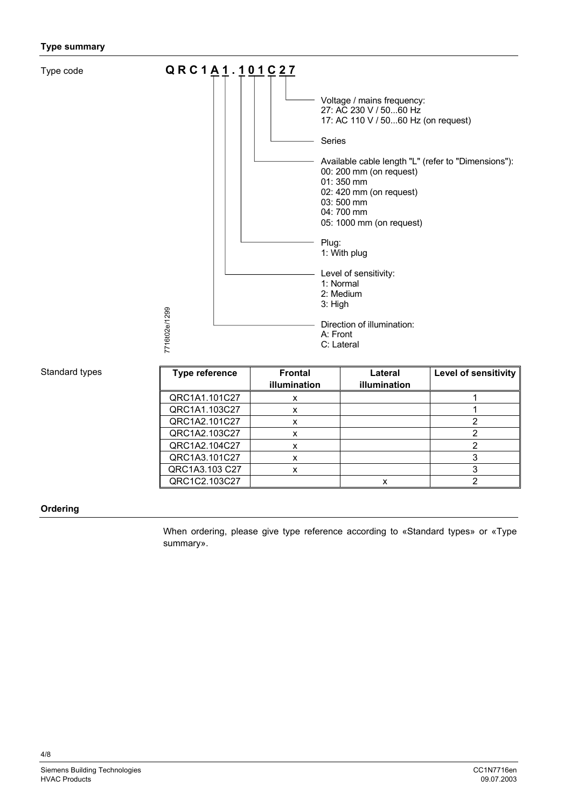# **Type summary**

Type code



# Standard types

| <b>Type reference</b> | <b>Frontal</b> | Lateral      | <b>Level of sensitivity</b> |
|-----------------------|----------------|--------------|-----------------------------|
|                       | illumination   | illumination |                             |
| QRC1A1.101C27         | x              |              |                             |
| QRC1A1.103C27         | x              |              |                             |
| QRC1A2.101C27         | x              |              |                             |
| QRC1A2.103C27         | x              |              |                             |
| QRC1A2.104C27         | x              |              |                             |
| QRC1A3.101C27         | x              |              |                             |
| QRC1A3.103 C27        | x              |              |                             |
| QRC1C2.103C27         |                |              |                             |

### **Ordering**

When ordering, please give type reference according to «Standard types» or «Type summary».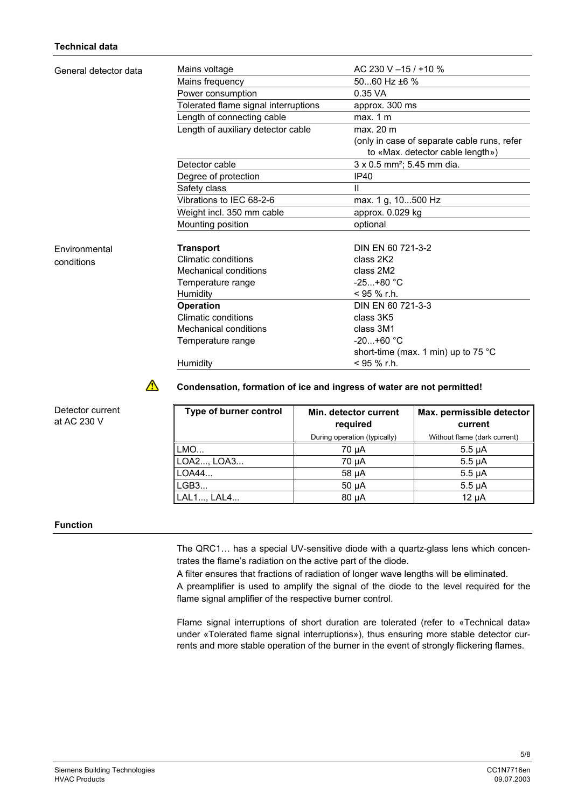| General detector data | Mains voltage                        | AC 230 V $-15/110 \%$                         |
|-----------------------|--------------------------------------|-----------------------------------------------|
|                       | Mains frequency                      | 5060 Hz ±6 %                                  |
|                       | Power consumption                    | 0.35 VA                                       |
|                       | Tolerated flame signal interruptions | approx. 300 ms                                |
|                       | Length of connecting cable           | max. 1 m                                      |
|                       | Length of auxiliary detector cable   | max. 20 m                                     |
|                       |                                      | (only in case of separate cable runs, refer   |
|                       |                                      | to «Max. detector cable length»)              |
|                       | Detector cable                       | 3 x 0.5 mm <sup>2</sup> ; 5.45 mm dia.        |
|                       | Degree of protection                 | IP40                                          |
|                       | Safety class                         | Ш                                             |
|                       | Vibrations to IEC 68-2-6             | max. 1 g, 10500 Hz                            |
|                       | Weight incl. 350 mm cable            | approx. 0.029 kg                              |
|                       | Mounting position                    | optional                                      |
| <b>Environmental</b>  | <b>Transport</b>                     | DIN EN 60 721-3-2                             |
| conditions            | <b>Climatic conditions</b>           | class 2K2                                     |
|                       | Mechanical conditions                | class 2M2                                     |
|                       | Temperature range                    | $-25+80 °C$                                   |
|                       | Humidity                             | $<$ 95 % r.h.                                 |
|                       | <b>Operation</b>                     | DIN EN 60 721-3-3                             |
|                       | Climatic conditions                  | class 3K5                                     |
|                       | Mechanical conditions                | class 3M1                                     |
|                       | Temperature range                    | $-20+60 °C$                                   |
|                       |                                      | short-time (max. 1 min) up to 75 $^{\circ}$ C |
|                       | Humidity                             | $< 95 \%$ r.h.                                |

 $\bigwedge$ 

# **Condensation, formation of ice and ingress of water are not permitted!**

| Type of burner control | Min. detector current<br>required | Max. permissible detector<br>current |
|------------------------|-----------------------------------|--------------------------------------|
|                        | During operation (typically)      | Without flame (dark current)         |
| LMO                    | 70 µA                             | $5.5 \mu A$                          |
| LOA2, LOA3             | 70 µA                             | $5.5 \mu A$                          |
| LOA44                  | $58 \mu A$                        | $5.5 \mu A$                          |
| LGB3                   | $50 \mu A$                        | $5.5 \mu A$                          |
| LAL1, LAL4             | $80 \mu A$                        | 12 uA                                |

### **Function**

Detector current at AC 230 V

> The QRC1… has a special UV-sensitive diode with a quartz-glass lens which concentrates the flame's radiation on the active part of the diode.

A filter ensures that fractions of radiation of longer wave lengths will be eliminated.

A preamplifier is used to amplify the signal of the diode to the level required for the flame signal amplifier of the respective burner control.

Flame signal interruptions of short duration are tolerated (refer to «Technical data» under «Tolerated flame signal interruptions»), thus ensuring more stable detector currents and more stable operation of the burner in the event of strongly flickering flames.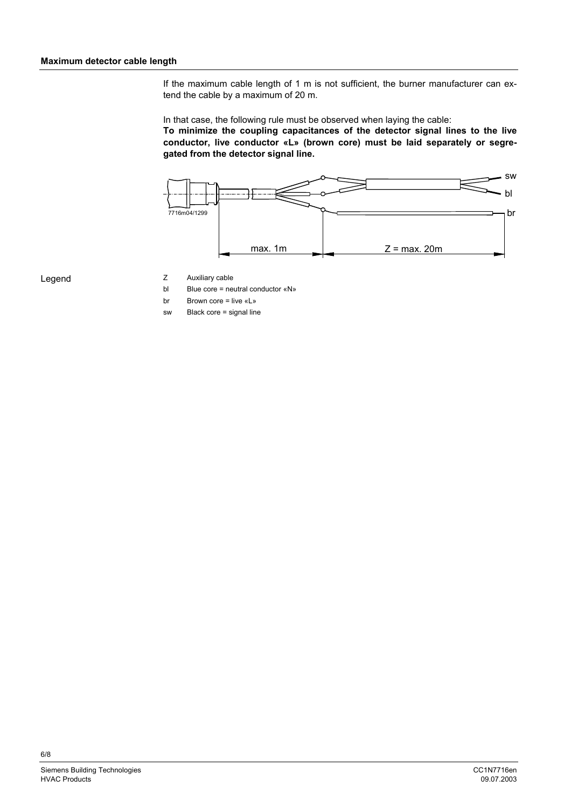If the maximum cable length of 1 m is not sufficient, the burner manufacturer can extend the cable by a maximum of 20 m.

In that case, the following rule must be observed when laying the cable: **To minimize the coupling capacitances of the detector signal lines to the live conductor, live conductor «L» (brown core) must be laid separately or segregated from the detector signal line.**



Legend

- Z Auxiliary cable
- bl Blue core = neutral conductor «N»
- br Brown core = live «L»
- sw Black core = signal line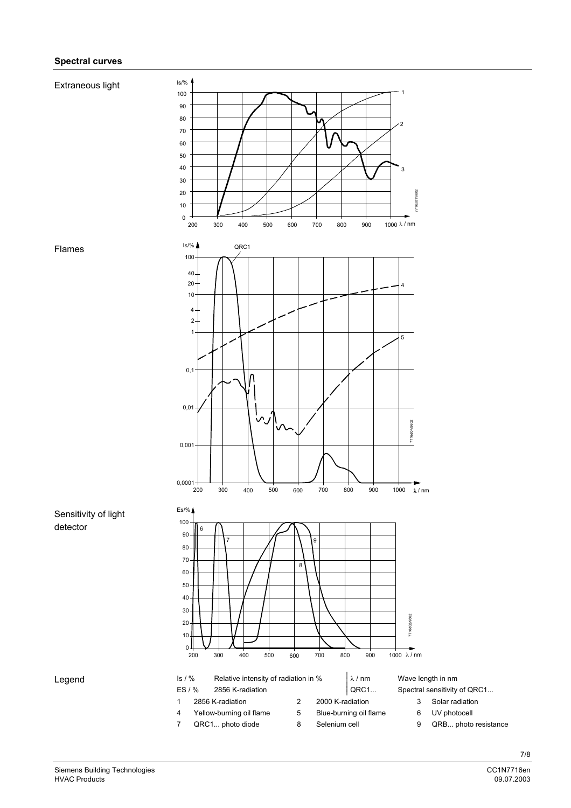# **Spectral curves**

# Is/% Extraneous light



### Flames



Siemens Building Technologies and the control of the control of the control of the control of the control of the control of the control of the control of the control of the control of the control of the control of the cont HVAC Products 09.07.2003

Legend